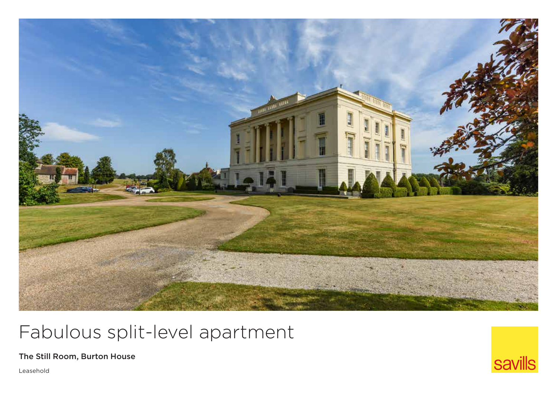

# Fabulous split-level apartment

The Still Room, Burton House

Leasehold

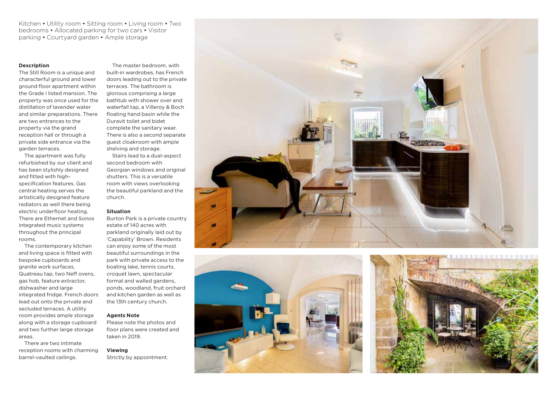Kitchen • Utility room • Sitting room • Living room • Two bedrooms • Allocated parking for two cars • Visitor parking • Courtyard garden • Ample storage

### **Description**

The Still Room is a unique and characterful ground and lower ground floor apartment within the Grade I listed mansion. The property was once used for the distillation of lavender water and similar preparations. There are two entrances to the property via the grand reception hall or through a private side entrance via the garden terraces.

The apartment was fully refurbished by our client and has been stylishly designed and fitted with highspecification features. Gas central heating serves the artistically designed feature radiators as well there being electric underfloor heating. There are Ethernet and Sonos integrated music systems throughout the principal rooms.

The contemporary kitchen and living space is fitted with bespoke cupboards and granite work surfaces, Quatreau tap, two Neff ovens, gas hob, feature extractor, dishwasher and large integrated fridge. French doors lead out onto the private and secluded terraces. A utility room provides ample storage along with a storage cupboard and two further large storage areas.

There are two intimate reception rooms with charming barrel-vaulted ceilings.

The master bedroom, with built-in wardrobes, has French doors leading out to the private terraces. The bathroom is glorious comprising a large bathtub with shower over and waterfall tap, a Villeroy & Boch floating hand basin while the Duravit toilet and bidet complete the sanitary wear. There is also a second separate guest cloakroom with ample shelving and storage.

Stairs lead to a dual-aspect second bedroom with Georgian windows and original shutters. This is a versatile room with views overlooking the beautiful parkland and the church.

#### **Situation**

Burton Park is a private country estate of 140 acres with parkland originally laid out by 'Capability' Brown. Residents can enjoy some of the most beautiful surroundings in the park with private access to the boating lake, tennis courts, croquet lawn, spectacular formal and walled gardens, ponds, woodland, fruit orchard and kitchen garden as well as the 13th century church.

## **Agents Note**

Please note the photos and floor plans were created and taken in 2019.

**Viewing**

Strictly by appointment.





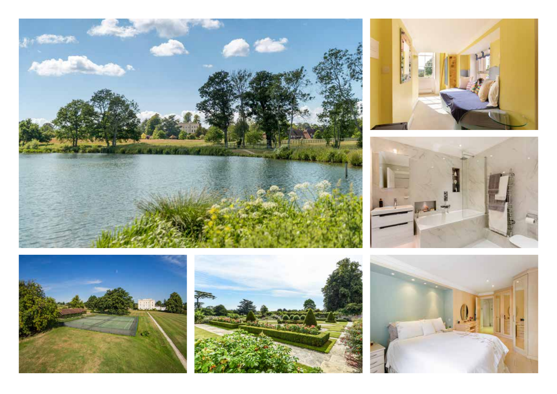